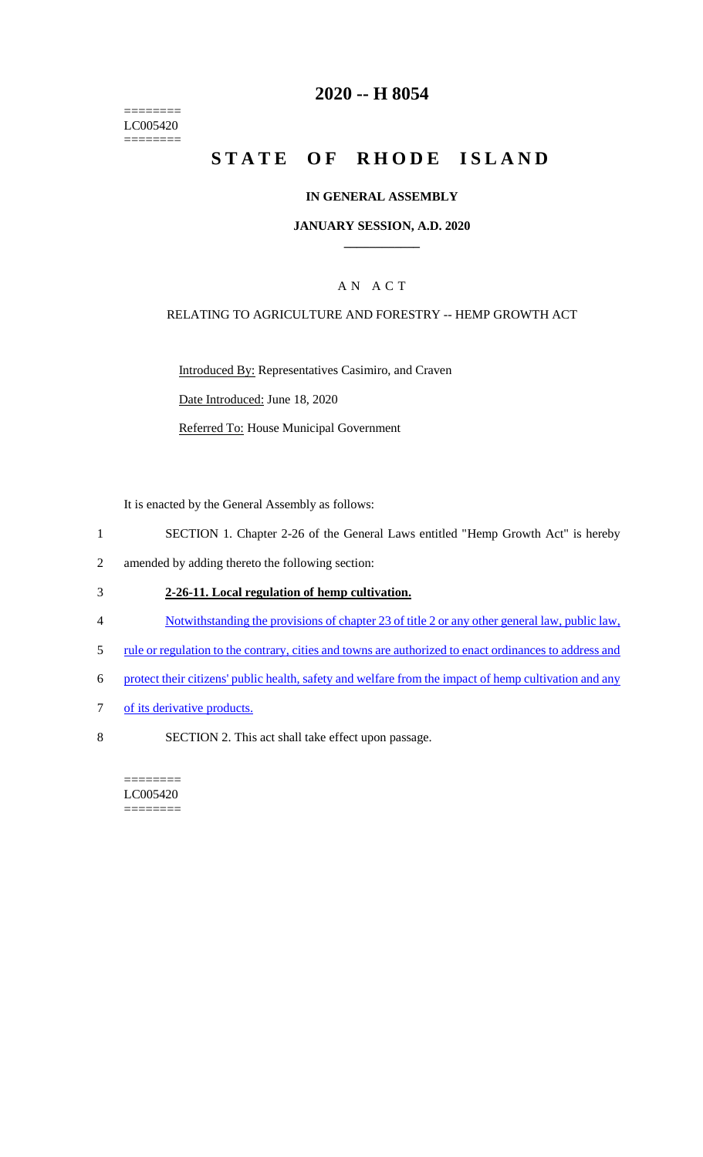======== LC005420  $=$ 

# **2020 -- H 8054**

# **STATE OF RHODE ISLAND**

#### **IN GENERAL ASSEMBLY**

#### **JANUARY SESSION, A.D. 2020 \_\_\_\_\_\_\_\_\_\_\_\_**

### A N A C T

#### RELATING TO AGRICULTURE AND FORESTRY -- HEMP GROWTH ACT

Introduced By: Representatives Casimiro, and Craven

Date Introduced: June 18, 2020

Referred To: House Municipal Government

It is enacted by the General Assembly as follows:

- 1 SECTION 1. Chapter 2-26 of the General Laws entitled "Hemp Growth Act" is hereby
- 2 amended by adding thereto the following section:

### 3 **2-26-11. Local regulation of hemp cultivation.**

- 4 Notwithstanding the provisions of chapter 23 of title 2 or any other general law, public law,
- 5 rule or regulation to the contrary, cities and towns are authorized to enact ordinances to address and
- 6 protect their citizens' public health, safety and welfare from the impact of hemp cultivation and any
- 7 of its derivative products.
- 8 SECTION 2. This act shall take effect upon passage.

======== LC005420 ========